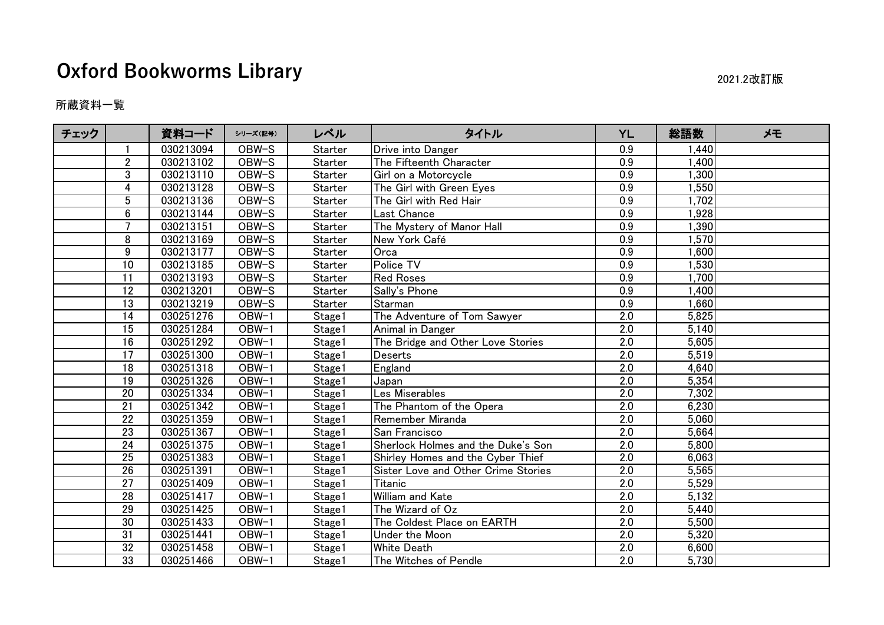## **Oxford Bookworms Library** 2021.2改訂版

所蔵資料一覧

| チェック |                 | 資料コード     | シリーズ(記号)            | レベル            | タイトル                                | <b>YL</b>        | 総語数   | メモ |
|------|-----------------|-----------|---------------------|----------------|-------------------------------------|------------------|-------|----|
|      |                 | 030213094 | OBW-S               | Starter        | Drive into Danger                   | 0.9              | 1,440 |    |
|      | $\overline{2}$  | 030213102 | OBW-S               | Starter        | The Fifteenth Character             | 0.9              | 1,400 |    |
|      | 3               | 030213110 | OBW-S               | Starter        | Girl on a Motorcycle                | 0.9              | 1,300 |    |
|      | 4               | 030213128 | OBW-S               | <b>Starter</b> | The Girl with Green Eyes            | 0.9              | 1,550 |    |
|      | $5\phantom{.0}$ | 030213136 | OBW-S               | Starter        | The Girl with Red Hair              | $\overline{0.9}$ | 1,702 |    |
|      | $\overline{6}$  | 030213144 | OBW-S               | Starter        | Last Chance                         | $\overline{0.9}$ | 1,928 |    |
|      | $\overline{7}$  | 030213151 | OBW-S               | Starter        | The Mystery of Manor Hall           | 0.9              | 1,390 |    |
|      | 8               | 030213169 | OBW-S               | Starter        | New York Café                       | 0.9              | 1,570 |    |
|      | 9               | 030213177 | OBW-S               | Starter        | Orca                                | $\overline{0.9}$ | 1,600 |    |
|      | 10              | 030213185 | OBW-S               | Starter        | Police TV                           | 0.9              | 1,530 |    |
|      | 11              | 030213193 | OBW-S               | Starter        | <b>Red Roses</b>                    | 0.9              | 1,700 |    |
|      | 12              | 030213201 | OBW-S               | Starter        | Sally's Phone                       | 0.9              | 1,400 |    |
|      | 13              | 030213219 | OBW-S               | Starter        | Starman                             | 0.9              | 1,660 |    |
|      | 14              | 030251276 | $\overline{OBW}$ -1 | Stage1         | The Adventure of Tom Sawyer         | 2.0              | 5,825 |    |
|      | 15              | 030251284 | OBW-1               | Stage1         | Animal in Danger                    | $\overline{2.0}$ | 5,140 |    |
|      | 16              | 030251292 | OBW-1               | Stage1         | The Bridge and Other Love Stories   | 2.0              | 5,605 |    |
|      | $\overline{17}$ | 030251300 | OBW-1               | Stage1         | Deserts                             | $\overline{2.0}$ | 5,519 |    |
|      | 18              | 030251318 | OBW-1               | Stage1         | England                             | $\overline{2.0}$ | 4,640 |    |
|      | 19              | 030251326 | OBW-1               | Stage1         | Japan                               | 2.0              | 5,354 |    |
|      | 20              | 030251334 | OBW-1               | Stage1         | Les Miserables                      | $\overline{2.0}$ | 7,302 |    |
|      | 21              | 030251342 | OBW-1               | Stage1         | The Phantom of the Opera            | 2.0              | 6,230 |    |
|      | 22              | 030251359 | OBW-1               | Stage1         | Remember Miranda                    | 2.0              | 5,060 |    |
|      | $\overline{23}$ | 030251367 | OBW-1               | Stage1         | San Francisco                       | $\overline{2.0}$ | 5,664 |    |
|      | 24              | 030251375 | OBW-1               | Stage1         | Sherlock Holmes and the Duke's Son  | $\overline{2.0}$ | 5,800 |    |
|      | 25              | 030251383 | OBW-1               | Stage1         | Shirley Homes and the Cyber Thief   | 2.0              | 6,063 |    |
|      | 26              | 030251391 | OBW-1               | Stage1         | Sister Love and Other Crime Stories | $\overline{2.0}$ | 5,565 |    |
|      | $\overline{27}$ | 030251409 | OBW-1               | Stage1         | Titanic                             | $\overline{2.0}$ | 5,529 |    |
|      | 28              | 030251417 | OBW-1               | Stage1         | William and Kate                    | 2.0              | 5,132 |    |
|      | $\overline{29}$ | 030251425 | OBW-1               | Stage1         | The Wizard of Oz                    | $\overline{2.0}$ | 5,440 |    |
|      | 30              | 030251433 | OBW-1               | Stage1         | The Coldest Place on EARTH          | 2.0              | 5,500 |    |
|      | 31              | 030251441 | OBW-1               | Stage1         | Under the Moon                      | 2.0              | 5,320 |    |
|      | 32              | 030251458 | $OBW-1$             | Stage1         | <b>White Death</b>                  | $\overline{2.0}$ | 6,600 |    |
|      | $\overline{33}$ | 030251466 | OBW-1               | Stage1         | The Witches of Pendle               | $\overline{2.0}$ | 5,730 |    |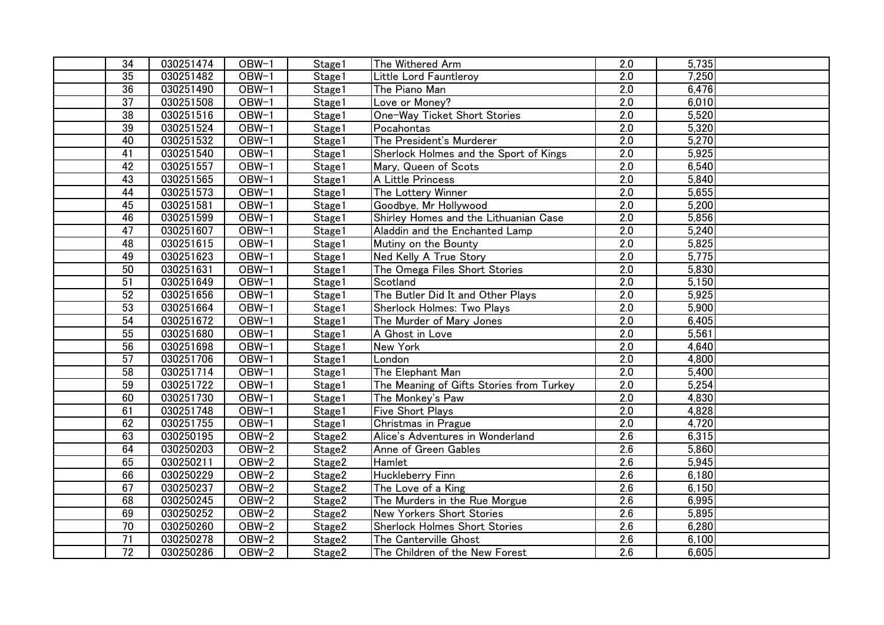| 34              | 030251474 | OBW-1              | Stage1             | The Withered Arm                         | 2.0              | 5,735 |
|-----------------|-----------|--------------------|--------------------|------------------------------------------|------------------|-------|
| 35              | 030251482 | $OBW-1$            | Stage1             | Little Lord Fauntleroy                   | $\overline{2.0}$ | 7,250 |
| 36              | 030251490 | $OBW-1$            | Stage1             | The Piano Man                            | 2.0              | 6,476 |
| $\overline{37}$ | 030251508 | $OBW-1$            | Stage1             | Love or Money?                           | $\overline{2.0}$ | 6,010 |
| 38              | 030251516 | OBW-1              | Stage1             | One-Way Ticket Short Stories             | 2.0              | 5,520 |
| 39              | 030251524 | $OBW-1$            | Stage1             | Pocahontas                               | $\overline{2.0}$ | 5,320 |
| 40              | 030251532 | OBW-1              | Stage1             | The President's Murderer                 | 2.0              | 5,270 |
| $\overline{41}$ | 030251540 | $OBW-1$            | Stage1             | Sherlock Holmes and the Sport of Kings   | 2.0              | 5,925 |
| 42              | 030251557 | OBW-1              | Stage1             | Mary, Queen of Scots                     | $\overline{2.0}$ | 6,540 |
| 43              | 030251565 | $OBW-1$            | Stage1             | A Little Princess                        | $\overline{2.0}$ | 5,840 |
| 44              | 030251573 | OBW-1              | Stage1             | The Lottery Winner                       | 2.0              | 5,655 |
| 45              | 030251581 | OBW-1              | Stage1             | Goodbye, Mr Hollywood                    | $\overline{2.0}$ | 5,200 |
| 46              | 030251599 | OBW-1              | Stage1             | Shirley Homes and the Lithuanian Case    | 2.0              | 5,856 |
| 47              | 030251607 | $OBW-1$            | Stage1             | Aladdin and the Enchanted Lamp           | 2.0              | 5,240 |
| 48              | 030251615 | OBW-1              | Stage1             | Mutiny on the Bounty                     | $\overline{2.0}$ | 5,825 |
| 49              | 030251623 | $OBW-1$            | Stage1             | Ned Kelly A True Story                   | $\overline{2.0}$ | 5,775 |
| 50              | 030251631 | OBW-1              | Stage1             | The Omega Files Short Stories            | $\overline{2.0}$ | 5,830 |
| 51              | 030251649 | $OBW-1$            | Stage1             | Scotland                                 | $\overline{2.0}$ | 5,150 |
| 52              | 030251656 | $OBW-1$            | Stage1             | The Butler Did It and Other Plays        | $\overline{2.0}$ | 5,925 |
| 53              | 030251664 | OBW-1              | Stage1             | Sherlock Holmes: Two Plays               | 2.0              | 5,900 |
| 54              | 030251672 | $OBW-1$            | Stage1             | The Murder of Mary Jones                 | $\overline{2.0}$ | 6,405 |
| 55              | 030251680 | OBW-1              | Stage1             | A Ghost in Love                          | 2.0              | 5,561 |
| 56              | 030251698 | OBW-1              | Stage1             | New York                                 | $\overline{2.0}$ | 4,640 |
| 57              | 030251706 | OBW-1              | Stage1             | London                                   | 2.0              | 4,800 |
| 58              | 030251714 | $OBW-1$            | Stage1             | The Elephant Man                         | $\overline{2.0}$ | 5,400 |
| 59              | 030251722 | OBW-1              | Stage1             | The Meaning of Gifts Stories from Turkey | $\overline{2.0}$ | 5,254 |
| 60              | 030251730 | $OBW-1$            | Stage1             | The Monkey's Paw                         | $\overline{2.0}$ | 4,830 |
| 61              | 030251748 | $OBW-1$            | Stage1             | <b>Five Short Plays</b>                  | 2.0              | 4,828 |
| 62              | 030251755 | $OBW-1$            | Stage1             | Christmas in Prague                      | 2.0              | 4,720 |
| 63              | 030250195 | $OBW-2$            | Stage <sub>2</sub> | Alice's Adventures in Wonderland         | $\overline{2.6}$ | 6,315 |
| 64              | 030250203 | OBW-2              | Stage2             | Anne of Green Gables                     | 2.6              | 5,860 |
| 65              | 030250211 | OBW-2              | Stage2             | Hamlet                                   | $\overline{2.6}$ | 5,945 |
| 66              | 030250229 | OBW-2              | Stage2             | Huckleberry Finn                         | 2.6              | 6,180 |
| 67              | 030250237 | $OBW-2$            | Stage2             | The Love of a King                       | $\overline{2.6}$ | 6,150 |
| 68              | 030250245 | OBW-2              | Stage2             | The Murders in the Rue Morgue            | 2.6              | 6,995 |
| 69              | 030250252 | $OBW-2$            | Stage2             | <b>New Yorkers Short Stories</b>         | $\overline{2.6}$ | 5,895 |
| $\overline{70}$ | 030250260 | $\overline{OBW-2}$ | Stage2             | <b>Sherlock Holmes Short Stories</b>     | 2.6              | 6,280 |
| 71              | 030250278 | OBW-2              | Stage2             | The Canterville Ghost                    | 2.6              | 6,100 |
| 72              | 030250286 | OBW-2              | Stage2             | The Children of the New Forest           | 2.6              | 6,605 |